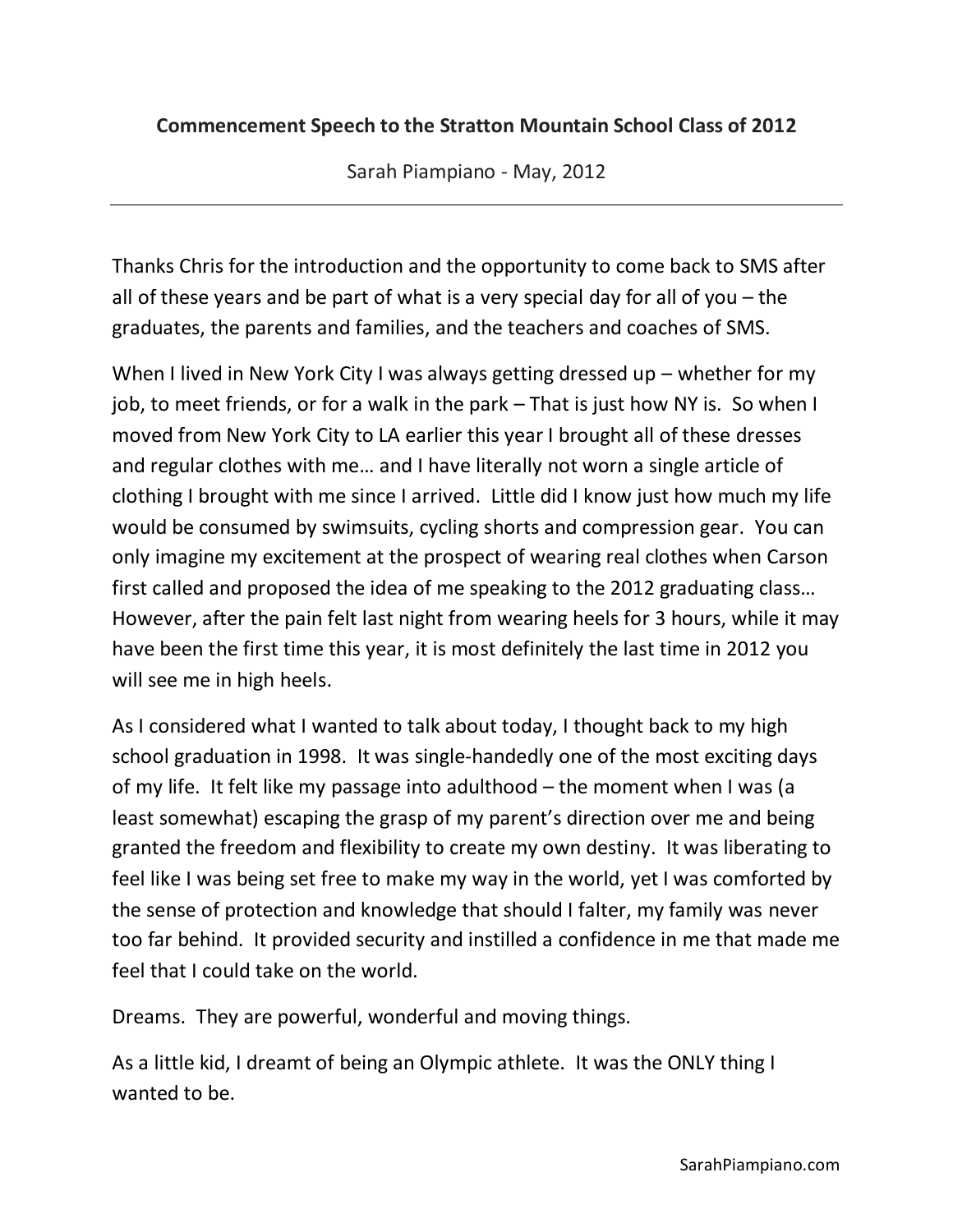## **Commencement Speech to the Stratton Mountain School Class of 2012**

Sarah Piampiano - May, 2012

Thanks Chris for the introduction and the opportunity to come back to SMS after all of these years and be part of what is a very special day for all of you – the graduates, the parents and families, and the teachers and coaches of SMS.

When I lived in New York City I was always getting dressed up – whether for my job, to meet friends, or for a walk in the park – That is just how NY is. So when I moved from New York City to LA earlier this year I brought all of these dresses and regular clothes with me… and I have literally not worn a single article of clothing I brought with me since I arrived. Little did I know just how much my life would be consumed by swimsuits, cycling shorts and compression gear. You can only imagine my excitement at the prospect of wearing real clothes when Carson first called and proposed the idea of me speaking to the 2012 graduating class… However, after the pain felt last night from wearing heels for 3 hours, while it may have been the first time this year, it is most definitely the last time in 2012 you will see me in high heels.

As I considered what I wanted to talk about today, I thought back to my high school graduation in 1998. It was single-handedly one of the most exciting days of my life. It felt like my passage into adulthood – the moment when I was (a least somewhat) escaping the grasp of my parent's direction over me and being granted the freedom and flexibility to create my own destiny. It was liberating to feel like I was being set free to make my way in the world, yet I was comforted by the sense of protection and knowledge that should I falter, my family was never too far behind. It provided security and instilled a confidence in me that made me feel that I could take on the world.

Dreams. They are powerful, wonderful and moving things.

As a little kid, I dreamt of being an Olympic athlete. It was the ONLY thing I wanted to be.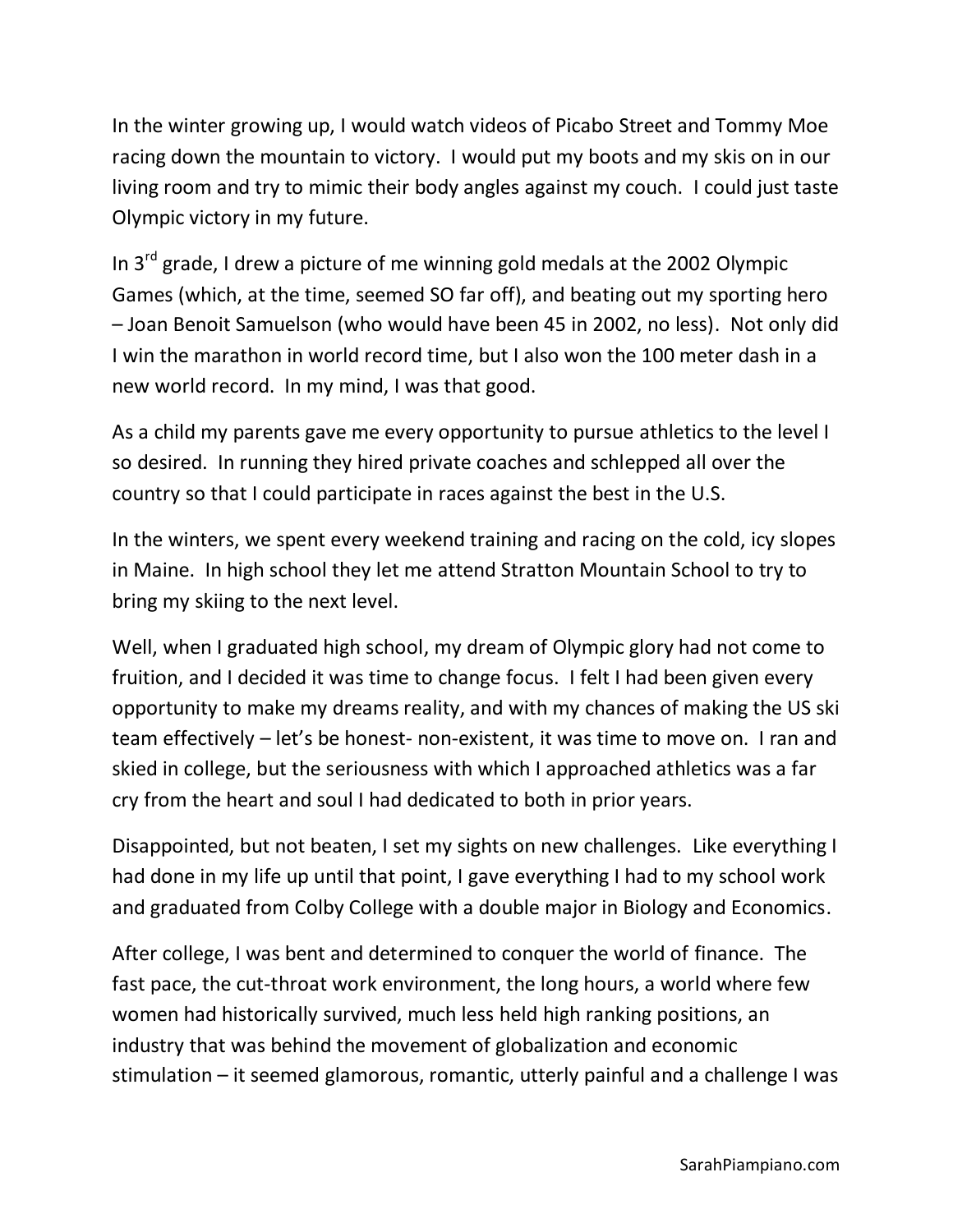In the winter growing up, I would watch videos of Picabo Street and Tommy Moe racing down the mountain to victory. I would put my boots and my skis on in our living room and try to mimic their body angles against my couch. I could just taste Olympic victory in my future.

In  $3<sup>rd</sup>$  grade, I drew a picture of me winning gold medals at the 2002 Olympic Games (which, at the time, seemed SO far off), and beating out my sporting hero – Joan Benoit Samuelson (who would have been 45 in 2002, no less). Not only did I win the marathon in world record time, but I also won the 100 meter dash in a new world record. In my mind, I was that good.

As a child my parents gave me every opportunity to pursue athletics to the level I so desired. In running they hired private coaches and schlepped all over the country so that I could participate in races against the best in the U.S.

In the winters, we spent every weekend training and racing on the cold, icy slopes in Maine. In high school they let me attend Stratton Mountain School to try to bring my skiing to the next level.

Well, when I graduated high school, my dream of Olympic glory had not come to fruition, and I decided it was time to change focus. I felt I had been given every opportunity to make my dreams reality, and with my chances of making the US ski team effectively – let's be honest- non-existent, it was time to move on. I ran and skied in college, but the seriousness with which I approached athletics was a far cry from the heart and soul I had dedicated to both in prior years.

Disappointed, but not beaten, I set my sights on new challenges. Like everything I had done in my life up until that point, I gave everything I had to my school work and graduated from Colby College with a double major in Biology and Economics.

After college, I was bent and determined to conquer the world of finance. The fast pace, the cut-throat work environment, the long hours, a world where few women had historically survived, much less held high ranking positions, an industry that was behind the movement of globalization and economic stimulation – it seemed glamorous, romantic, utterly painful and a challenge I was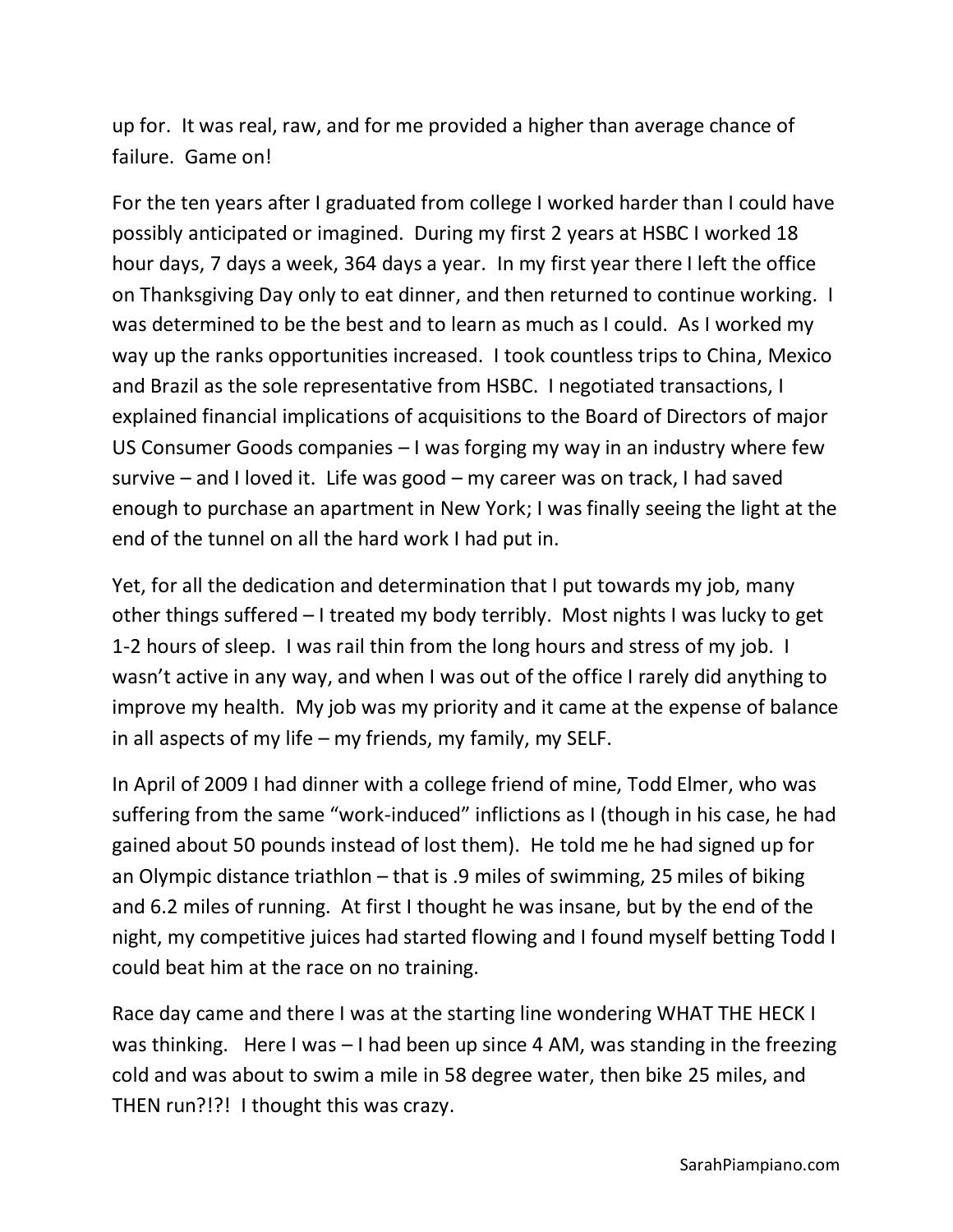up for. It was real, raw, and for me provided a higher than average chance of failure. Game on!

For the ten years after I graduated from college I worked harder than I could have possibly anticipated or imagined. During my first 2 years at HSBC I worked 18 hour days, 7 days a week, 364 days a year. In my first year there I left the office on Thanksgiving Day only to eat dinner, and then returned to continue working. I was determined to be the best and to learn as much as I could. As I worked my way up the ranks opportunities increased. I took countless trips to China, Mexico and Brazil as the sole representative from HSBC. I negotiated transactions, I explained financial implications of acquisitions to the Board of Directors of major US Consumer Goods companies – I was forging my way in an industry where few survive – and I loved it. Life was good – my career was on track, I had saved enough to purchase an apartment in New York; I was finally seeing the light at the end of the tunnel on all the hard work I had put in.

Yet, for all the dedication and determination that I put towards my job, many other things suffered – I treated my body terribly. Most nights I was lucky to get 1-2 hours of sleep. I was rail thin from the long hours and stress of my job. I wasn't active in any way, and when I was out of the office I rarely did anything to improve my health. My job was my priority and it came at the expense of balance in all aspects of my life – my friends, my family, my SELF.

In April of 2009 I had dinner with a college friend of mine, Todd Elmer, who was suffering from the same "work-induced" inflictions as I (though in his case, he had gained about 50 pounds instead of lost them). He told me he had signed up for an Olympic distance triathlon – that is .9 miles of swimming, 25 miles of biking and 6.2 miles of running. At first I thought he was insane, but by the end of the night, my competitive juices had started flowing and I found myself betting Todd I could beat him at the race on no training.

Race day came and there I was at the starting line wondering WHAT THE HECK I was thinking. Here I was – I had been up since 4 AM, was standing in the freezing cold and was about to swim a mile in 58 degree water, then bike 25 miles, and THEN run?!?! I thought this was crazy.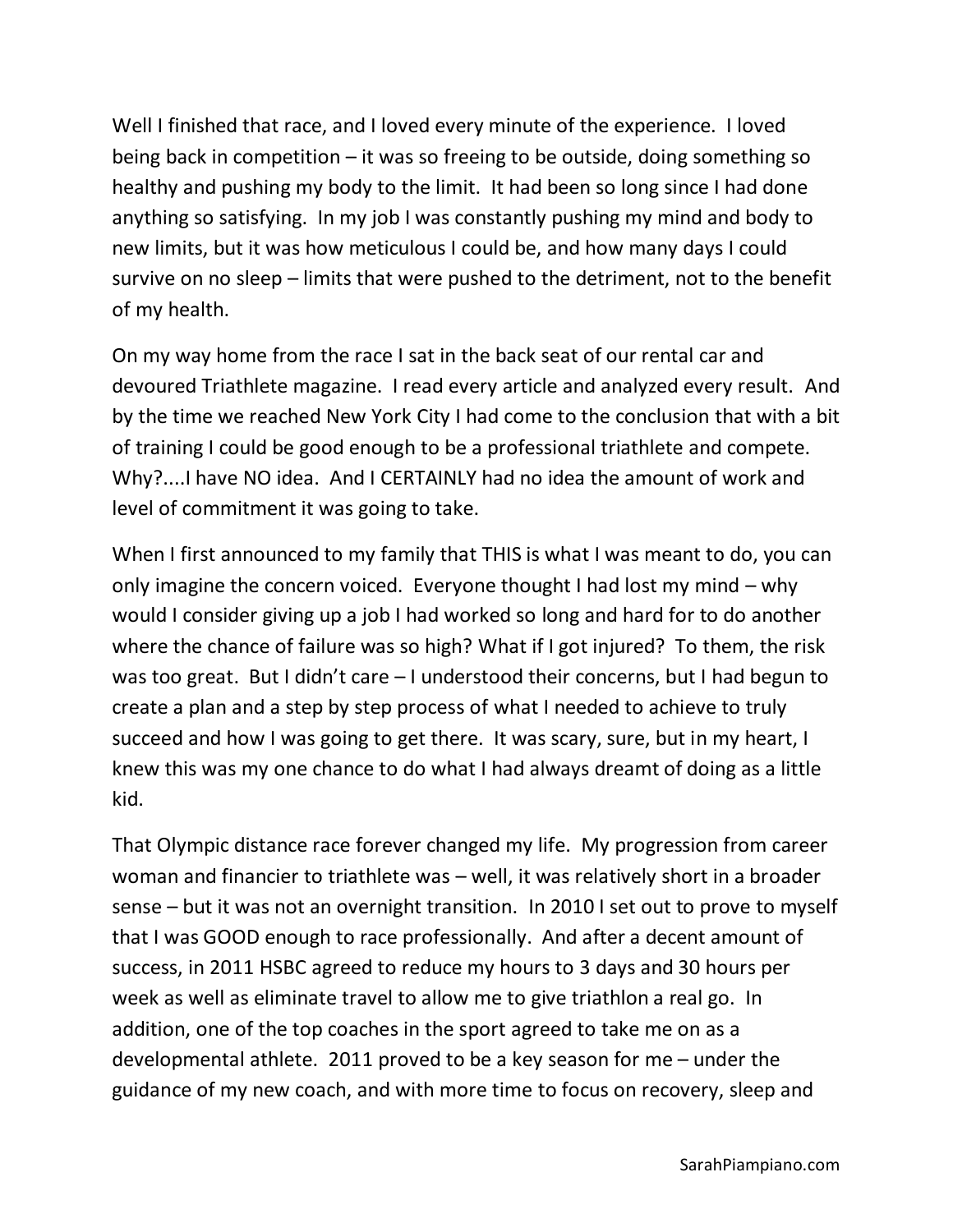Well I finished that race, and I loved every minute of the experience. I loved being back in competition  $-$  it was so freeing to be outside, doing something so healthy and pushing my body to the limit. It had been so long since I had done anything so satisfying. In my job I was constantly pushing my mind and body to new limits, but it was how meticulous I could be, and how many days I could survive on no sleep – limits that were pushed to the detriment, not to the benefit of my health.

On my way home from the race I sat in the back seat of our rental car and devoured Triathlete magazine. I read every article and analyzed every result. And by the time we reached New York City I had come to the conclusion that with a bit of training I could be good enough to be a professional triathlete and compete. Why?....I have NO idea. And I CERTAINLY had no idea the amount of work and level of commitment it was going to take.

When I first announced to my family that THIS is what I was meant to do, you can only imagine the concern voiced. Everyone thought I had lost my mind – why would I consider giving up a job I had worked so long and hard for to do another where the chance of failure was so high? What if I got injured? To them, the risk was too great. But I didn't care – I understood their concerns, but I had begun to create a plan and a step by step process of what I needed to achieve to truly succeed and how I was going to get there. It was scary, sure, but in my heart, I knew this was my one chance to do what I had always dreamt of doing as a little kid.

That Olympic distance race forever changed my life. My progression from career woman and financier to triathlete was – well, it was relatively short in a broader sense – but it was not an overnight transition. In 2010 I set out to prove to myself that I was GOOD enough to race professionally. And after a decent amount of success, in 2011 HSBC agreed to reduce my hours to 3 days and 30 hours per week as well as eliminate travel to allow me to give triathlon a real go. In addition, one of the top coaches in the sport agreed to take me on as a developmental athlete. 2011 proved to be a key season for me – under the guidance of my new coach, and with more time to focus on recovery, sleep and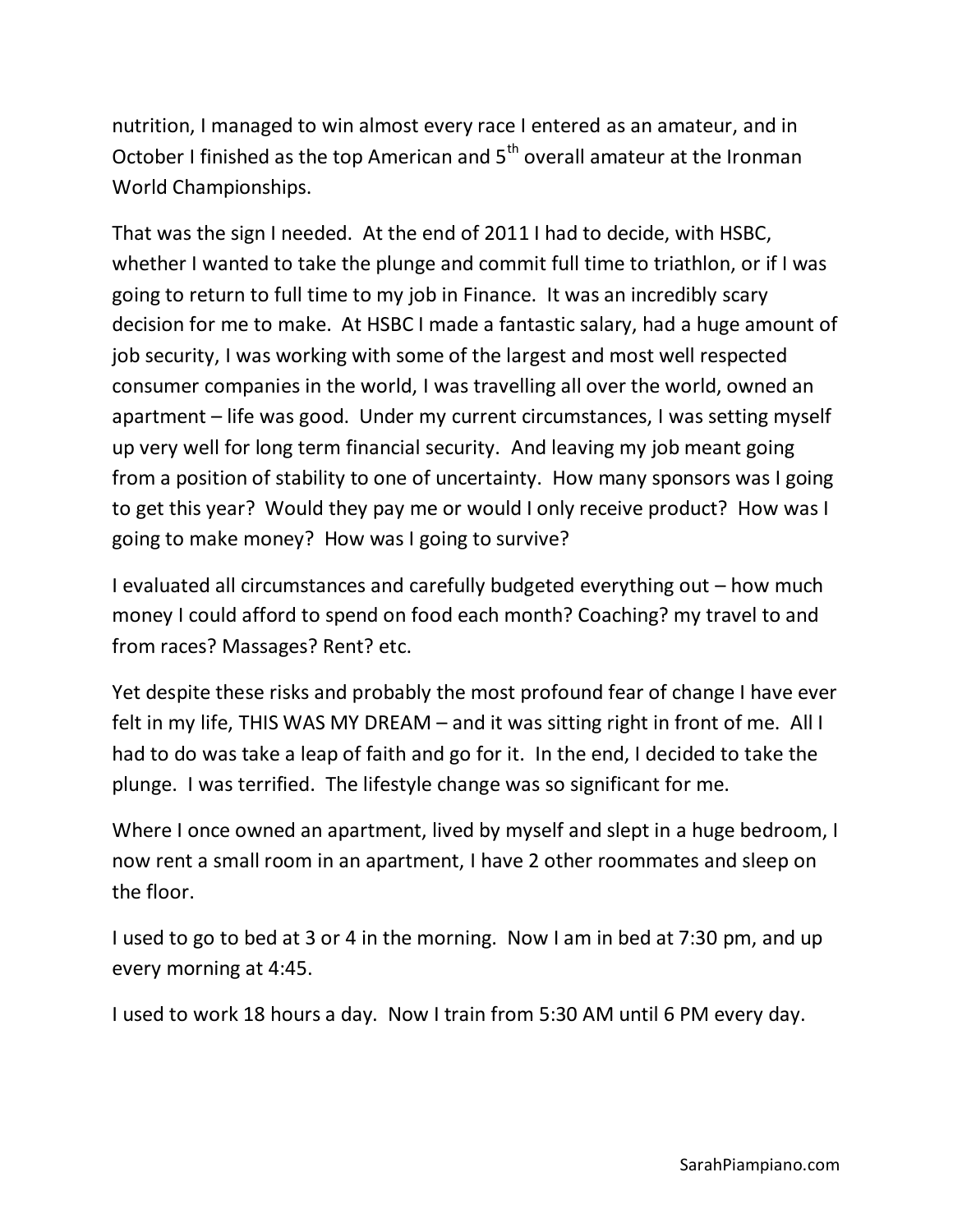nutrition, I managed to win almost every race I entered as an amateur, and in October I finished as the top American and  $5<sup>th</sup>$  overall amateur at the Ironman World Championships.

That was the sign I needed. At the end of 2011 I had to decide, with HSBC, whether I wanted to take the plunge and commit full time to triathlon, or if I was going to return to full time to my job in Finance. It was an incredibly scary decision for me to make. At HSBC I made a fantastic salary, had a huge amount of job security, I was working with some of the largest and most well respected consumer companies in the world, I was travelling all over the world, owned an apartment – life was good. Under my current circumstances, I was setting myself up very well for long term financial security. And leaving my job meant going from a position of stability to one of uncertainty. How many sponsors was I going to get this year? Would they pay me or would I only receive product? How was I going to make money? How was I going to survive?

I evaluated all circumstances and carefully budgeted everything out – how much money I could afford to spend on food each month? Coaching? my travel to and from races? Massages? Rent? etc.

Yet despite these risks and probably the most profound fear of change I have ever felt in my life, THIS WAS MY DREAM – and it was sitting right in front of me. All I had to do was take a leap of faith and go for it. In the end, I decided to take the plunge. I was terrified. The lifestyle change was so significant for me.

Where I once owned an apartment, lived by myself and slept in a huge bedroom, I now rent a small room in an apartment, I have 2 other roommates and sleep on the floor.

I used to go to bed at 3 or 4 in the morning. Now I am in bed at 7:30 pm, and up every morning at 4:45.

I used to work 18 hours a day. Now I train from 5:30 AM until 6 PM every day.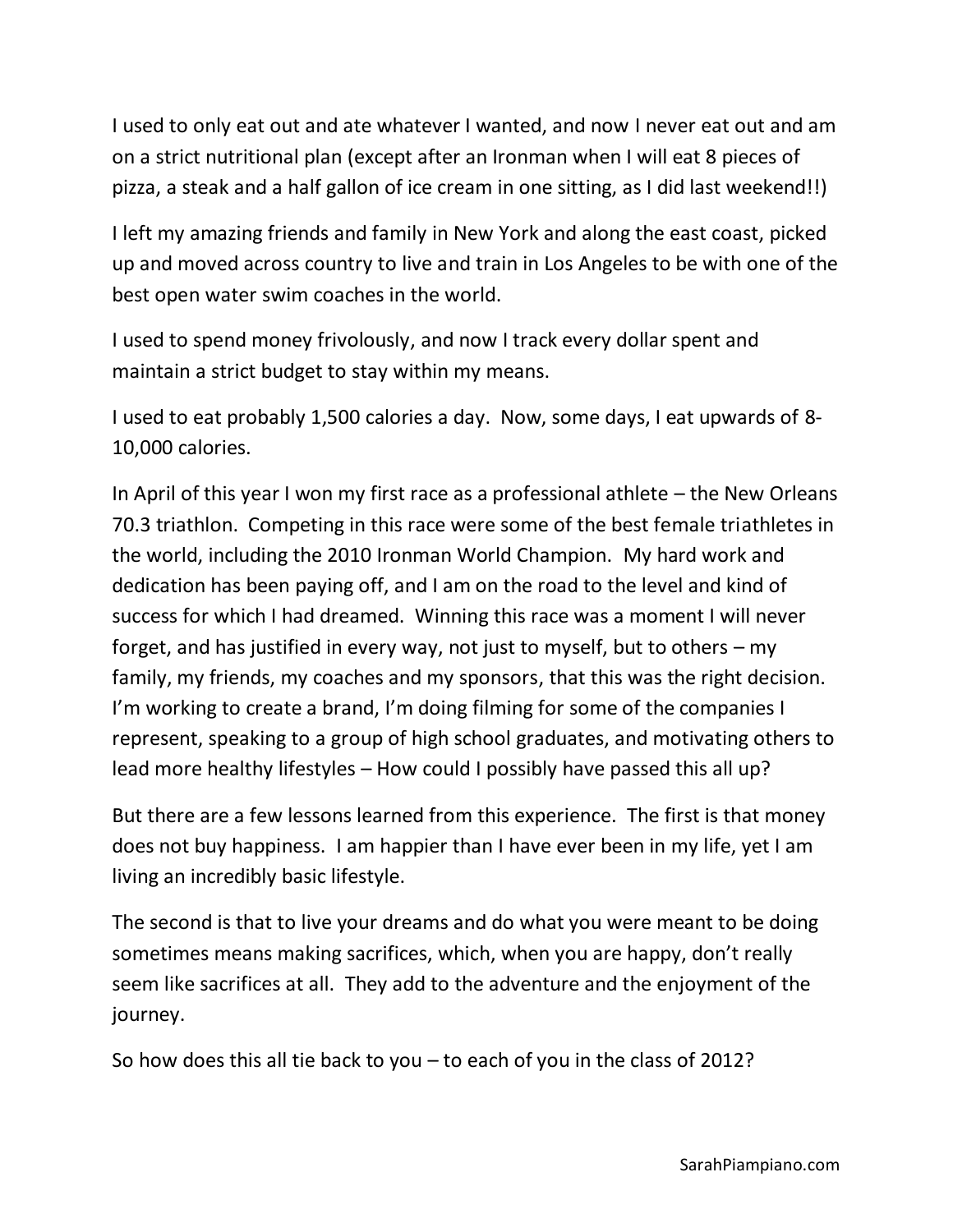I used to only eat out and ate whatever I wanted, and now I never eat out and am on a strict nutritional plan (except after an Ironman when I will eat 8 pieces of pizza, a steak and a half gallon of ice cream in one sitting, as I did last weekend!!)

I left my amazing friends and family in New York and along the east coast, picked up and moved across country to live and train in Los Angeles to be with one of the best open water swim coaches in the world.

I used to spend money frivolously, and now I track every dollar spent and maintain a strict budget to stay within my means.

I used to eat probably 1,500 calories a day. Now, some days, I eat upwards of 8- 10,000 calories.

In April of this year I won my first race as a professional athlete – the New Orleans 70.3 triathlon. Competing in this race were some of the best female triathletes in the world, including the 2010 Ironman World Champion. My hard work and dedication has been paying off, and I am on the road to the level and kind of success for which I had dreamed. Winning this race was a moment I will never forget, and has justified in every way, not just to myself, but to others – my family, my friends, my coaches and my sponsors, that this was the right decision. I'm working to create a brand, I'm doing filming for some of the companies I represent, speaking to a group of high school graduates, and motivating others to lead more healthy lifestyles – How could I possibly have passed this all up?

But there are a few lessons learned from this experience. The first is that money does not buy happiness. I am happier than I have ever been in my life, yet I am living an incredibly basic lifestyle.

The second is that to live your dreams and do what you were meant to be doing sometimes means making sacrifices, which, when you are happy, don't really seem like sacrifices at all. They add to the adventure and the enjoyment of the journey.

So how does this all tie back to you – to each of you in the class of 2012?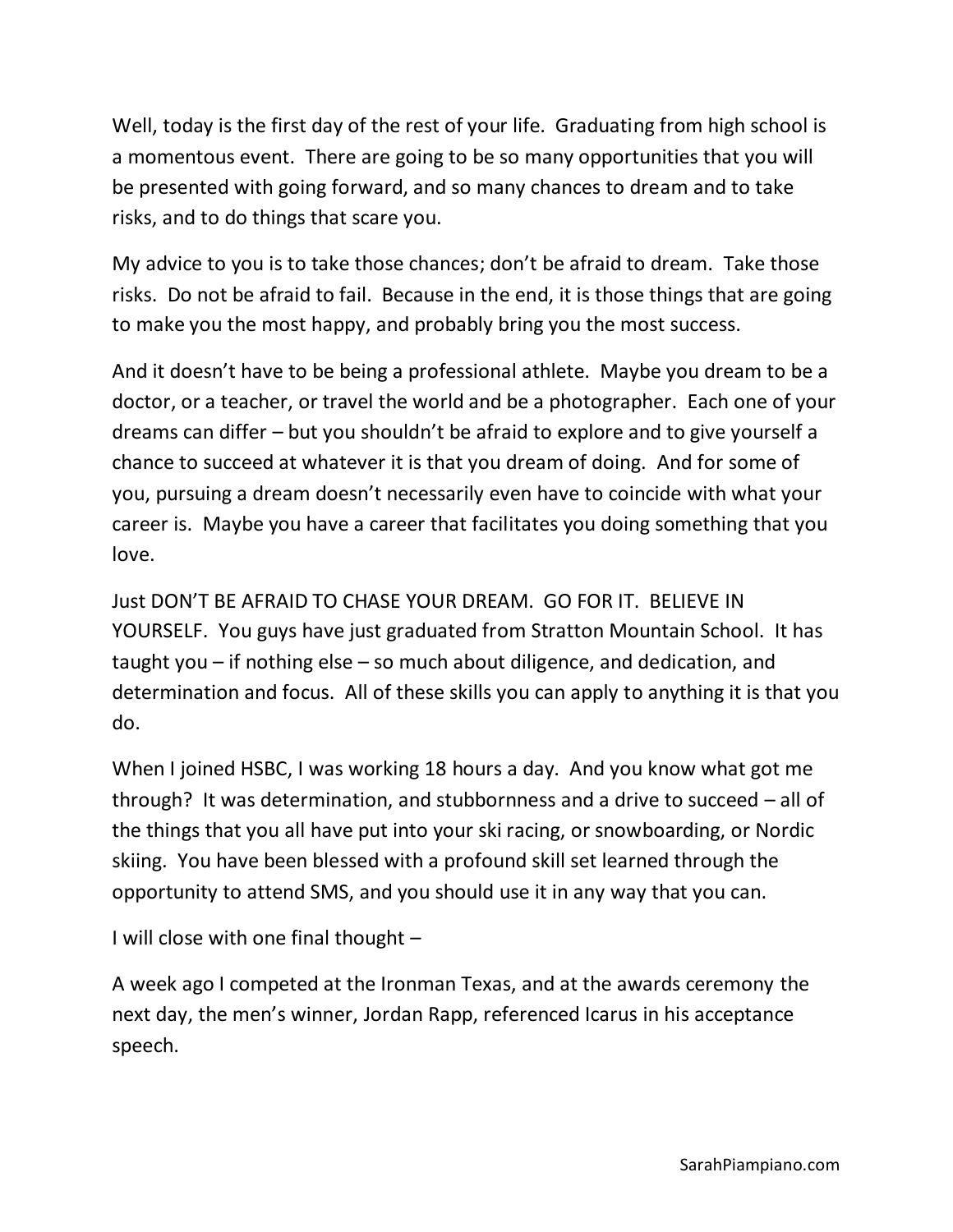Well, today is the first day of the rest of your life. Graduating from high school is a momentous event. There are going to be so many opportunities that you will be presented with going forward, and so many chances to dream and to take risks, and to do things that scare you.

My advice to you is to take those chances; don't be afraid to dream. Take those risks. Do not be afraid to fail. Because in the end, it is those things that are going to make you the most happy, and probably bring you the most success.

And it doesn't have to be being a professional athlete. Maybe you dream to be a doctor, or a teacher, or travel the world and be a photographer. Each one of your dreams can differ – but you shouldn't be afraid to explore and to give yourself a chance to succeed at whatever it is that you dream of doing. And for some of you, pursuing a dream doesn't necessarily even have to coincide with what your career is. Maybe you have a career that facilitates you doing something that you love.

Just DON'T BE AFRAID TO CHASE YOUR DREAM. GO FOR IT. BELIEVE IN YOURSELF. You guys have just graduated from Stratton Mountain School. It has taught you – if nothing else – so much about diligence, and dedication, and determination and focus. All of these skills you can apply to anything it is that you do.

When I joined HSBC, I was working 18 hours a day. And you know what got me through? It was determination, and stubbornness and a drive to succeed – all of the things that you all have put into your ski racing, or snowboarding, or Nordic skiing. You have been blessed with a profound skill set learned through the opportunity to attend SMS, and you should use it in any way that you can.

I will close with one final thought –

A week ago I competed at the Ironman Texas, and at the awards ceremony the next day, the men's winner, Jordan Rapp, referenced Icarus in his acceptance speech.